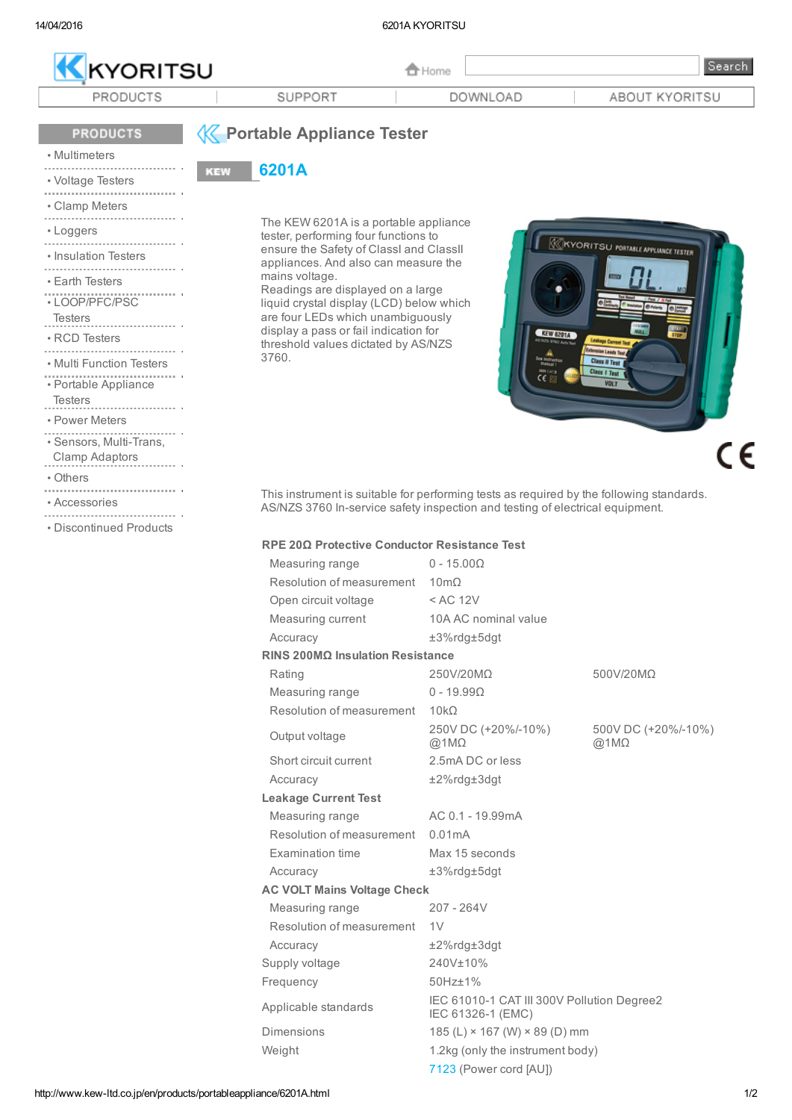

## **PRODUCTS**

# **K** Portable Appliance Tester 6201A

**KEW** 

## • [Multimeters](http://www.kew-ltd.co.jp/en/products/multimeters/index.html)<br>……………………………

- [Voltage](http://www.kew-ltd.co.jp/en/products/voltage_tester/index.html) Testers
- Clamp [Meters](http://www.kew-ltd.co.jp/en/products/clampmeters/index.html)
- 
- 
- [Loggers](http://www.kew-ltd.co.jp/en/products/logger/index.html)
- [Insulation](http://www.kew-ltd.co.jp/en/products/insulation/index.html) Testers
- Earth [Testers](http://www.kew-ltd.co.jp/en/products/earth/index.html)
- [LOOP/PFC/PSC](http://www.kew-ltd.co.jp/en/products/loop/index.html)
- Testers
- 
- RCD [Testers](http://www.kew-ltd.co.jp/en/products/rcd/index.html)
- Multi [Function](http://www.kew-ltd.co.jp/en/products/multifunction/index.html) Testers
- Portable [Appliance](http://www.kew-ltd.co.jp/en/products/portableappliance/index.html)
- Testers
- Power [Meters](http://www.kew-ltd.co.jp/en/products/powermeter/index.html)
- Sensors, Multi-Trans,
- Clamp Adaptors
- [Others](http://www.kew-ltd.co.jp/en/products/other/index.html)
- 
- [Accessories](http://www.kew-ltd.co.jp/en/products/measurement/index.html)
- [Discontinued](http://www.kew-ltd.co.jp/en/products/discontinued/index.html) Products

The KEW 6201A is a portable appliance tester, performing four functions to ensure the Safety of ClassI and ClassII appliances. And also can measure the mains voltage.

Readings are displayed on a large liquid crystal display (LCD) below which are four LEDs which unambiguously display a pass or fail indication for threshold values dictated by AS/NZS 3760.

**KIKYORITSU PORTABLE APPLIANCE TESTER** KEW 6201A  $\epsilon$ 

This instrument is suitable for performing tests as required by the following standards. AS/NZS 3760 In-service safety inspection and testing of electrical equipment.

## RPE 20Ω Protective Conductor Resistance Test

|                                    | Measuring range                       | $0 - 15.00\Omega$                                               |                                     |
|------------------------------------|---------------------------------------|-----------------------------------------------------------------|-------------------------------------|
|                                    | Resolution of measurement $10m\Omega$ |                                                                 |                                     |
|                                    | Open circuit voltage                  | $<$ AC 12V                                                      |                                     |
|                                    | Measuring current                     | 10A AC nominal value                                            |                                     |
|                                    | Accuracy                              | $±3%$ rdg $±5$ dgt                                              |                                     |
| RINS 200ΜΩ Insulation Resistance   |                                       |                                                                 |                                     |
|                                    | Rating                                | 250V/20MQ                                                       | 500V/20MΩ                           |
|                                    | Measuring range                       | $0 - 19.99 \Omega$                                              |                                     |
|                                    | Resolution of measurement             | 10kO                                                            |                                     |
|                                    | Output voltage                        | 250V DC (+20%/-10%)<br>@1M $\Omega$                             | 500V DC (+20%/-10%)<br>@1M $\Omega$ |
|                                    | Short circuit current                 | 2.5mA DC or less                                                |                                     |
|                                    | Accuracy                              | $±2\%$ rdg $±3$ dgt                                             |                                     |
| <b>Leakage Current Test</b>        |                                       |                                                                 |                                     |
|                                    | Measuring range                       | AC 0.1 - 19.99mA                                                |                                     |
|                                    | Resolution of measurement             | 0.01mA                                                          |                                     |
|                                    | Examination time                      | Max 15 seconds                                                  |                                     |
|                                    | Accuracy                              | $±3%$ rdg $±5$ dgt                                              |                                     |
| <b>AC VOLT Mains Voltage Check</b> |                                       |                                                                 |                                     |
|                                    | Measuring range                       | $207 - 264V$                                                    |                                     |
|                                    | Resolution of measurement             | 1 <sub>V</sub>                                                  |                                     |
|                                    | Accuracy                              | $±2\%$ rdg $±3$ dgt                                             |                                     |
|                                    | Supply voltage                        | 240V±10%                                                        |                                     |
|                                    | Frequency                             | 50Hz±1%                                                         |                                     |
|                                    | Applicable standards                  | IEC 61010-1 CAT III 300V Pollution Degree2<br>IEC 61326-1 (EMC) |                                     |
|                                    | Dimensions                            | 185 (L) $\times$ 167 (W) $\times$ 89 (D) mm                     |                                     |
|                                    | Weight                                | 1.2kg (only the instrument body)                                |                                     |
|                                    |                                       | 7123 (Power cord [AU])                                          |                                     |